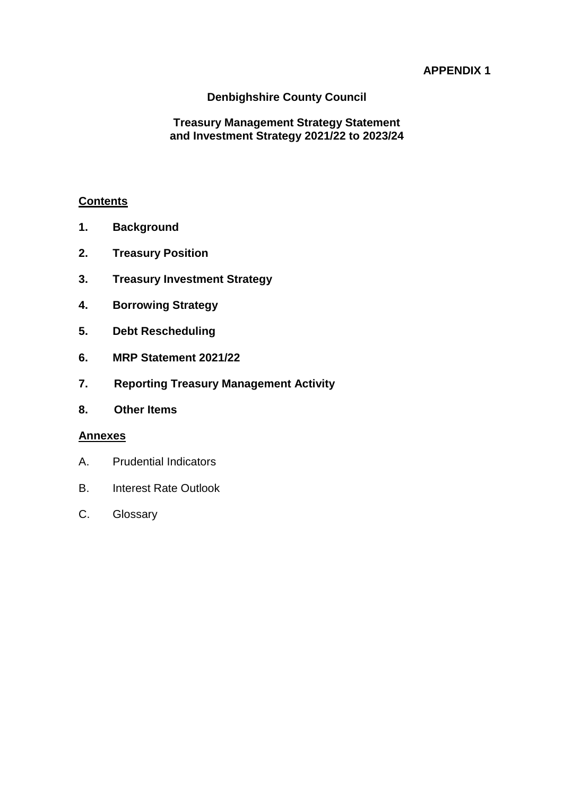# **APPENDIX 1**

### **Denbighshire County Council**

### **Treasury Management Strategy Statement and Investment Strategy 2021/22 to 2023/24**

#### **Contents**

- **1. Background**
- **2. Treasury Position**
- **3. Treasury Investment Strategy**
- **4. Borrowing Strategy**
- **5. Debt Rescheduling**
- **6. MRP Statement 2021/22**
- **7. Reporting Treasury Management Activity**
- **8. Other Items**

#### **Annexes**

- A. Prudential Indicators
- B. Interest Rate Outlook
- C. Glossary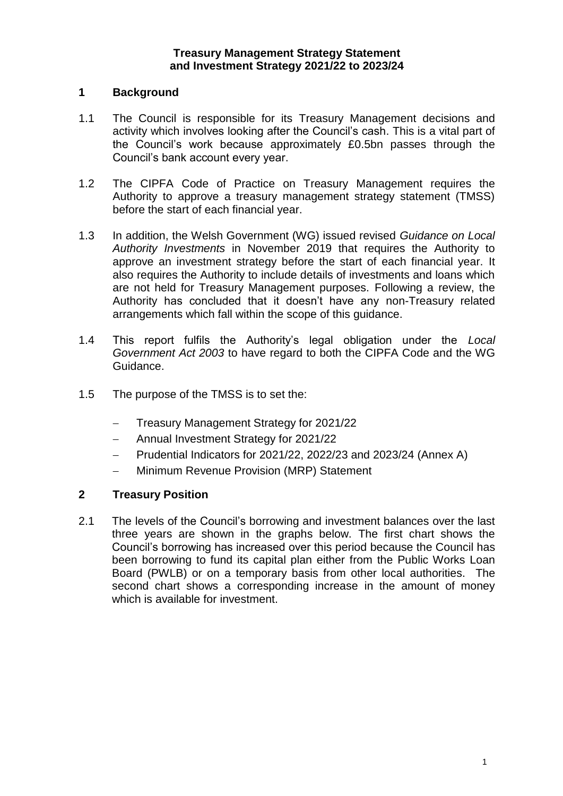#### **1 Background**

- 1.1 The Council is responsible for its Treasury Management decisions and activity which involves looking after the Council's cash. This is a vital part of the Council's work because approximately £0.5bn passes through the Council's bank account every year.
- 1.2 The CIPFA Code of Practice on Treasury Management requires the Authority to approve a treasury management strategy statement (TMSS) before the start of each financial year.
- 1.3 In addition, the Welsh Government (WG) issued revised *Guidance on Local Authority Investments* in November 2019 that requires the Authority to approve an investment strategy before the start of each financial year. It also requires the Authority to include details of investments and loans which are not held for Treasury Management purposes. Following a review, the Authority has concluded that it doesn't have any non-Treasury related arrangements which fall within the scope of this guidance.
- 1.4 This report fulfils the Authority's legal obligation under the *Local Government Act 2003* to have regard to both the CIPFA Code and the WG Guidance.
- 1.5 The purpose of the TMSS is to set the:
	- Treasury Management Strategy for 2021/22
	- Annual Investment Strategy for 2021/22
	- Prudential Indicators for 2021/22, 2022/23 and 2023/24 (Annex A)
	- Minimum Revenue Provision (MRP) Statement

#### **2 Treasury Position**

2.1 The levels of the Council's borrowing and investment balances over the last three years are shown in the graphs below. The first chart shows the Council's borrowing has increased over this period because the Council has been borrowing to fund its capital plan either from the Public Works Loan Board (PWLB) or on a temporary basis from other local authorities. The second chart shows a corresponding increase in the amount of money which is available for investment.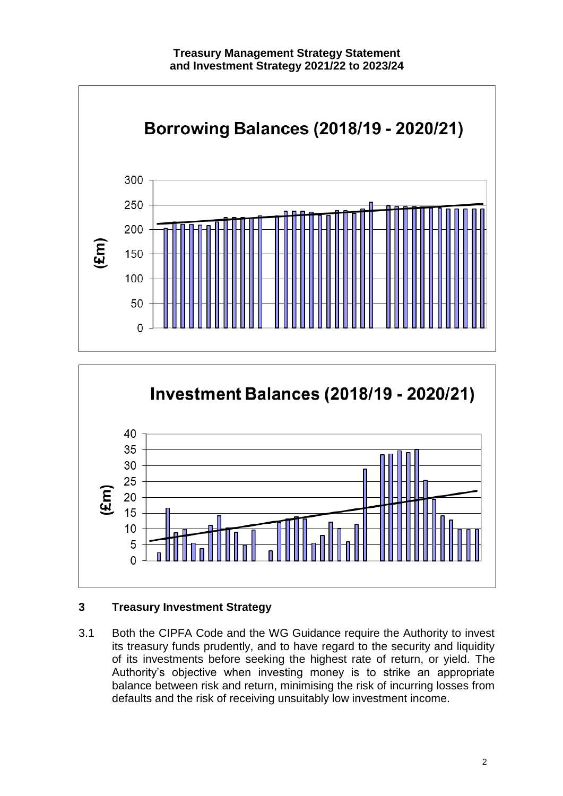



# **3 Treasury Investment Strategy**

3.1 Both the CIPFA Code and the WG Guidance require the Authority to invest its treasury funds prudently, and to have regard to the security and liquidity of its investments before seeking the highest rate of return, or yield. The Authority's objective when investing money is to strike an appropriate balance between risk and return, minimising the risk of incurring losses from defaults and the risk of receiving unsuitably low investment income.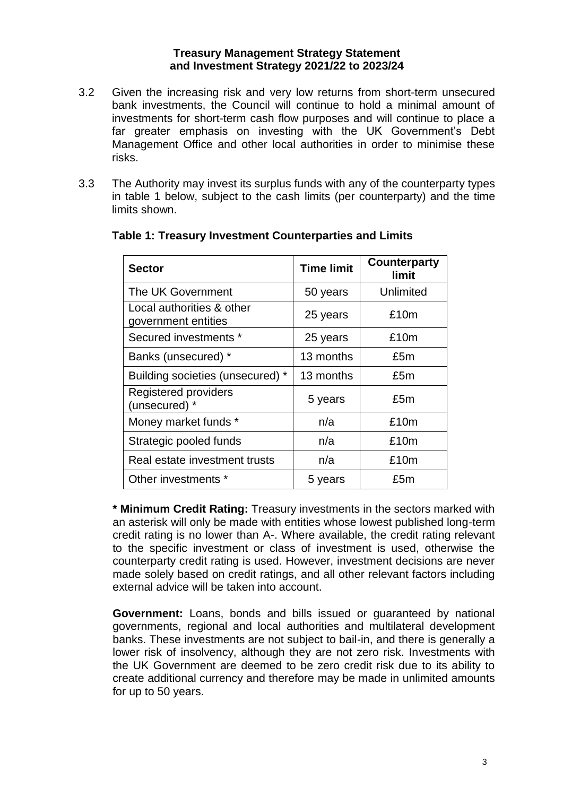- 3.2 Given the increasing risk and very low returns from short-term unsecured bank investments, the Council will continue to hold a minimal amount of investments for short-term cash flow purposes and will continue to place a far greater emphasis on investing with the UK Government's Debt Management Office and other local authorities in order to minimise these risks.
- 3.3 The Authority may invest its surplus funds with any of the counterparty types in table 1 below, subject to the cash limits (per counterparty) and the time limits shown.

| <b>Sector</b>                                    | <b>Time limit</b> | <b>Counterparty</b><br>limit |
|--------------------------------------------------|-------------------|------------------------------|
| The UK Government                                | 50 years          | Unlimited                    |
| Local authorities & other<br>government entities | 25 years          | £10m                         |
| Secured investments *                            | 25 years          | £10m                         |
| Banks (unsecured) *                              | 13 months         | £5m                          |
| Building societies (unsecured) *                 | 13 months         | £5m                          |
| Registered providers<br>(unsecured) *            | 5 years           | £5m                          |
| Money market funds *                             | n/a               | £10m                         |
| Strategic pooled funds                           | n/a               | £10m                         |
| Real estate investment trusts                    | n/a               | £10m                         |
| Other investments *                              | 5 years           | £5m                          |

# **Table 1: Treasury Investment Counterparties and Limits**

**\* Minimum Credit Rating:** Treasury investments in the sectors marked with an asterisk will only be made with entities whose lowest published long-term credit rating is no lower than A-. Where available, the credit rating relevant to the specific investment or class of investment is used, otherwise the counterparty credit rating is used. However, investment decisions are never made solely based on credit ratings, and all other relevant factors including external advice will be taken into account.

**Government:** Loans, bonds and bills issued or guaranteed by national governments, regional and local authorities and multilateral development banks. These investments are not subject to bail-in, and there is generally a lower risk of insolvency, although they are not zero risk. Investments with the UK Government are deemed to be zero credit risk due to its ability to create additional currency and therefore may be made in unlimited amounts for up to 50 years.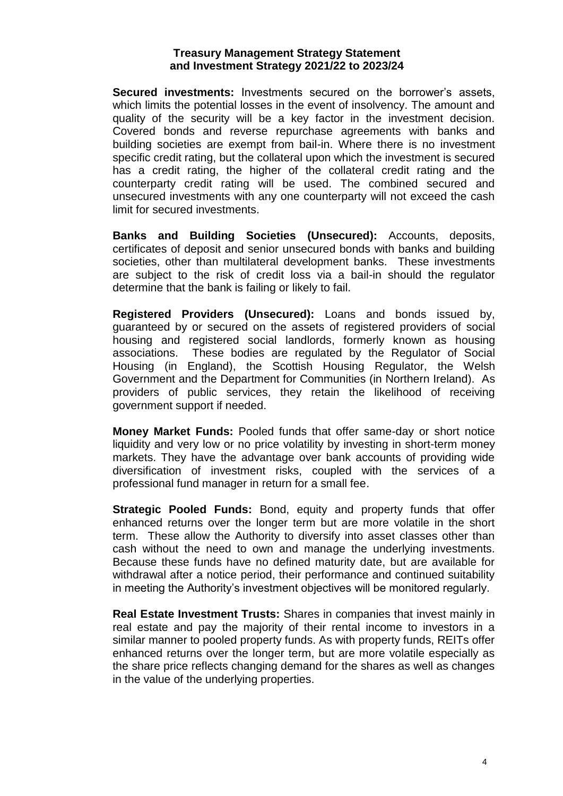**Secured investments:** Investments secured on the borrower's assets, which limits the potential losses in the event of insolvency. The amount and quality of the security will be a key factor in the investment decision. Covered bonds and reverse repurchase agreements with banks and building societies are exempt from bail-in. Where there is no investment specific credit rating, but the collateral upon which the investment is secured has a credit rating, the higher of the collateral credit rating and the counterparty credit rating will be used. The combined secured and unsecured investments with any one counterparty will not exceed the cash limit for secured investments.

**Banks and Building Societies (Unsecured):** Accounts, deposits, certificates of deposit and senior unsecured bonds with banks and building societies, other than multilateral development banks. These investments are subject to the risk of credit loss via a bail-in should the regulator determine that the bank is failing or likely to fail.

**Registered Providers (Unsecured):** Loans and bonds issued by, guaranteed by or secured on the assets of registered providers of social housing and registered social landlords, formerly known as housing associations. These bodies are regulated by the Regulator of Social Housing (in England), the Scottish Housing Regulator, the Welsh Government and the Department for Communities (in Northern Ireland). As providers of public services, they retain the likelihood of receiving government support if needed.

**Money Market Funds:** Pooled funds that offer same-day or short notice liquidity and very low or no price volatility by investing in short-term money markets. They have the advantage over bank accounts of providing wide diversification of investment risks, coupled with the services of a professional fund manager in return for a small fee.

**Strategic Pooled Funds:** Bond, equity and property funds that offer enhanced returns over the longer term but are more volatile in the short term. These allow the Authority to diversify into asset classes other than cash without the need to own and manage the underlying investments. Because these funds have no defined maturity date, but are available for withdrawal after a notice period, their performance and continued suitability in meeting the Authority's investment objectives will be monitored regularly.

**Real Estate Investment Trusts:** Shares in companies that invest mainly in real estate and pay the majority of their rental income to investors in a similar manner to pooled property funds. As with property funds, REITs offer enhanced returns over the longer term, but are more volatile especially as the share price reflects changing demand for the shares as well as changes in the value of the underlying properties.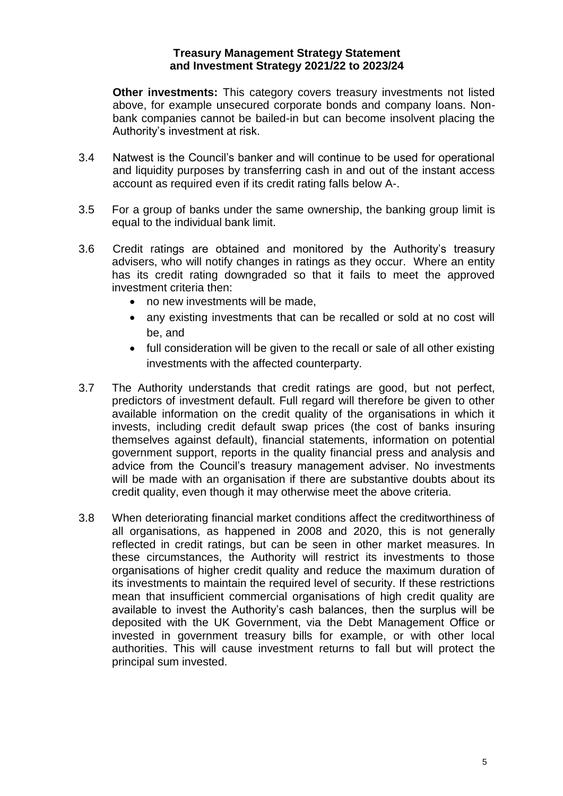**Other investments:** This category covers treasury investments not listed above, for example unsecured corporate bonds and company loans. Nonbank companies cannot be bailed-in but can become insolvent placing the Authority's investment at risk.

- 3.4 Natwest is the Council's banker and will continue to be used for operational and liquidity purposes by transferring cash in and out of the instant access account as required even if its credit rating falls below A-.
- 3.5 For a group of banks under the same ownership, the banking group limit is equal to the individual bank limit.
- 3.6 Credit ratings are obtained and monitored by the Authority's treasury advisers, who will notify changes in ratings as they occur. Where an entity has its credit rating downgraded so that it fails to meet the approved investment criteria then:
	- no new investments will be made,
	- any existing investments that can be recalled or sold at no cost will be, and
	- full consideration will be given to the recall or sale of all other existing investments with the affected counterparty.
- 3.7 The Authority understands that credit ratings are good, but not perfect, predictors of investment default. Full regard will therefore be given to other available information on the credit quality of the organisations in which it invests, including credit default swap prices (the cost of banks insuring themselves against default), financial statements, information on potential government support, reports in the quality financial press and analysis and advice from the Council's treasury management adviser. No investments will be made with an organisation if there are substantive doubts about its credit quality, even though it may otherwise meet the above criteria.
- 3.8 When deteriorating financial market conditions affect the creditworthiness of all organisations, as happened in 2008 and 2020, this is not generally reflected in credit ratings, but can be seen in other market measures. In these circumstances, the Authority will restrict its investments to those organisations of higher credit quality and reduce the maximum duration of its investments to maintain the required level of security. If these restrictions mean that insufficient commercial organisations of high credit quality are available to invest the Authority's cash balances, then the surplus will be deposited with the UK Government, via the Debt Management Office or invested in government treasury bills for example, or with other local authorities. This will cause investment returns to fall but will protect the principal sum invested.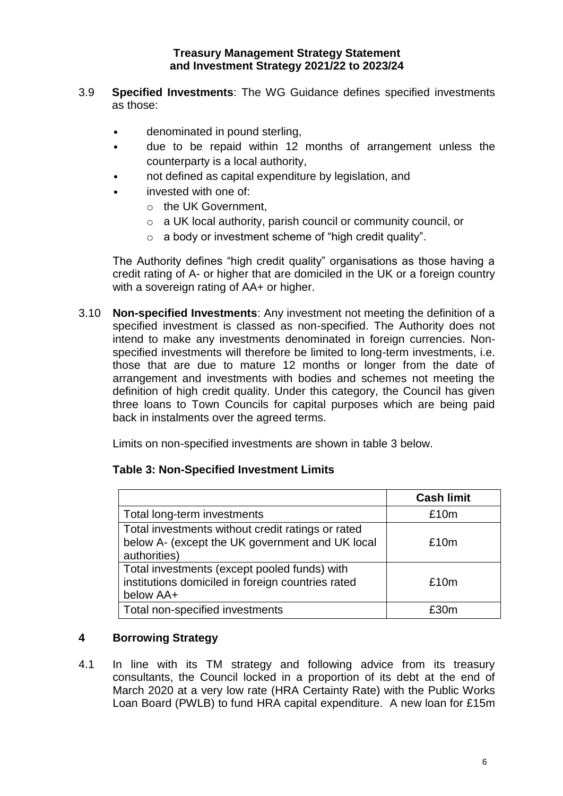- 3.9 **Specified Investments**: The WG Guidance defines specified investments as those:
	- denominated in pound sterling,
	- due to be repaid within 12 months of arrangement unless the counterparty is a local authority,
	- not defined as capital expenditure by legislation, and
	- invested with one of:
		- o the UK Government,
		- o a UK local authority, parish council or community council, or
		- o a body or investment scheme of "high credit quality".

The Authority defines "high credit quality" organisations as those having a credit rating of A- or higher that are domiciled in the UK or a foreign country with a sovereign rating of AA+ or higher.

3.10 **Non-specified Investments**: Any investment not meeting the definition of a specified investment is classed as non-specified. The Authority does not intend to make any investments denominated in foreign currencies. Nonspecified investments will therefore be limited to long-term investments, i.e. those that are due to mature 12 months or longer from the date of arrangement and investments with bodies and schemes not meeting the definition of high credit quality. Under this category, the Council has given three loans to Town Councils for capital purposes which are being paid back in instalments over the agreed terms.

Limits on non-specified investments are shown in table 3 below.

# **Table 3: Non-Specified Investment Limits**

|                                                                                                                      | <b>Cash limit</b> |
|----------------------------------------------------------------------------------------------------------------------|-------------------|
| Total long-term investments                                                                                          | £10m              |
| Total investments without credit ratings or rated<br>below A- (except the UK government and UK local<br>authorities) | £10m              |
| Total investments (except pooled funds) with<br>institutions domiciled in foreign countries rated<br>below AA+       | £10m              |
| Total non-specified investments                                                                                      | f30m              |

# **4 Borrowing Strategy**

4.1 In line with its TM strategy and following advice from its treasury consultants, the Council locked in a proportion of its debt at the end of March 2020 at a very low rate (HRA Certainty Rate) with the Public Works Loan Board (PWLB) to fund HRA capital expenditure. A new loan for £15m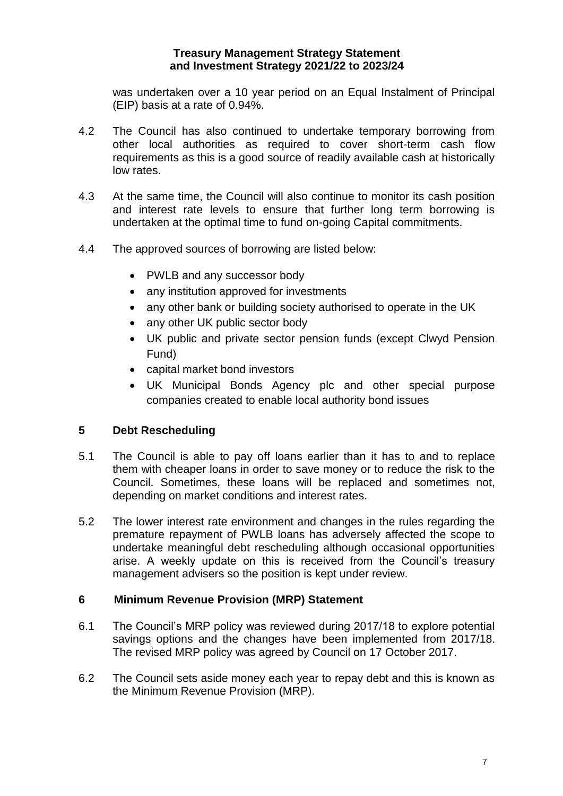was undertaken over a 10 year period on an Equal Instalment of Principal (EIP) basis at a rate of 0.94%.

- 4.2 The Council has also continued to undertake temporary borrowing from other local authorities as required to cover short-term cash flow requirements as this is a good source of readily available cash at historically low rates.
- 4.3 At the same time, the Council will also continue to monitor its cash position and interest rate levels to ensure that further long term borrowing is undertaken at the optimal time to fund on-going Capital commitments.
- 4.4 The approved sources of borrowing are listed below:
	- PWLB and any successor body
	- any institution approved for investments
	- any other bank or building society authorised to operate in the UK
	- any other UK public sector body
	- UK public and private sector pension funds (except Clwyd Pension Fund)
	- capital market bond investors
	- UK Municipal Bonds Agency plc and other special purpose companies created to enable local authority bond issues

# **5 Debt Rescheduling**

- 5.1 The Council is able to pay off loans earlier than it has to and to replace them with cheaper loans in order to save money or to reduce the risk to the Council. Sometimes, these loans will be replaced and sometimes not, depending on market conditions and interest rates.
- 5.2 The lower interest rate environment and changes in the rules regarding the premature repayment of PWLB loans has adversely affected the scope to undertake meaningful debt rescheduling although occasional opportunities arise. A weekly update on this is received from the Council's treasury management advisers so the position is kept under review.

#### **6 Minimum Revenue Provision (MRP) Statement**

- 6.1 The Council's MRP policy was reviewed during 2017/18 to explore potential savings options and the changes have been implemented from 2017/18. The revised MRP policy was agreed by Council on 17 October 2017.
- 6.2 The Council sets aside money each year to repay debt and this is known as the Minimum Revenue Provision (MRP).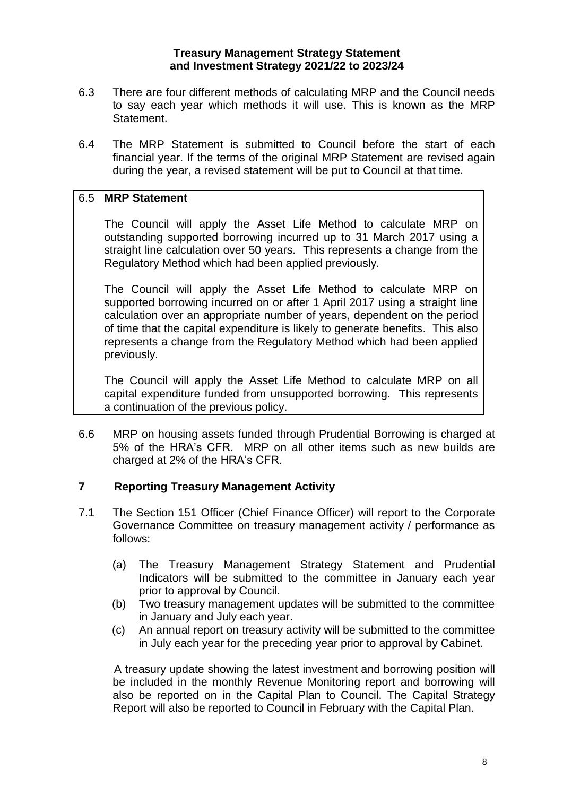- 6.3 There are four different methods of calculating MRP and the Council needs to say each year which methods it will use. This is known as the MRP Statement.
- 6.4 The MRP Statement is submitted to Council before the start of each financial year. If the terms of the original MRP Statement are revised again during the year, a revised statement will be put to Council at that time.

# 6.5 **MRP Statement**

The Council will apply the Asset Life Method to calculate MRP on outstanding supported borrowing incurred up to 31 March 2017 using a straight line calculation over 50 years. This represents a change from the Regulatory Method which had been applied previously.

The Council will apply the Asset Life Method to calculate MRP on supported borrowing incurred on or after 1 April 2017 using a straight line calculation over an appropriate number of years, dependent on the period of time that the capital expenditure is likely to generate benefits. This also represents a change from the Regulatory Method which had been applied previously.

The Council will apply the Asset Life Method to calculate MRP on all capital expenditure funded from unsupported borrowing. This represents a continuation of the previous policy.

6.6 MRP on housing assets funded through Prudential Borrowing is charged at 5% of the HRA's CFR. MRP on all other items such as new builds are charged at 2% of the HRA's CFR.

# **7 Reporting Treasury Management Activity**

- 7.1 The Section 151 Officer (Chief Finance Officer) will report to the Corporate Governance Committee on treasury management activity / performance as follows:
	- (a) The Treasury Management Strategy Statement and Prudential Indicators will be submitted to the committee in January each year prior to approval by Council.
	- (b) Two treasury management updates will be submitted to the committee in January and July each year.
	- (c) An annual report on treasury activity will be submitted to the committee in July each year for the preceding year prior to approval by Cabinet.

A treasury update showing the latest investment and borrowing position will be included in the monthly Revenue Monitoring report and borrowing will also be reported on in the Capital Plan to Council. The Capital Strategy Report will also be reported to Council in February with the Capital Plan.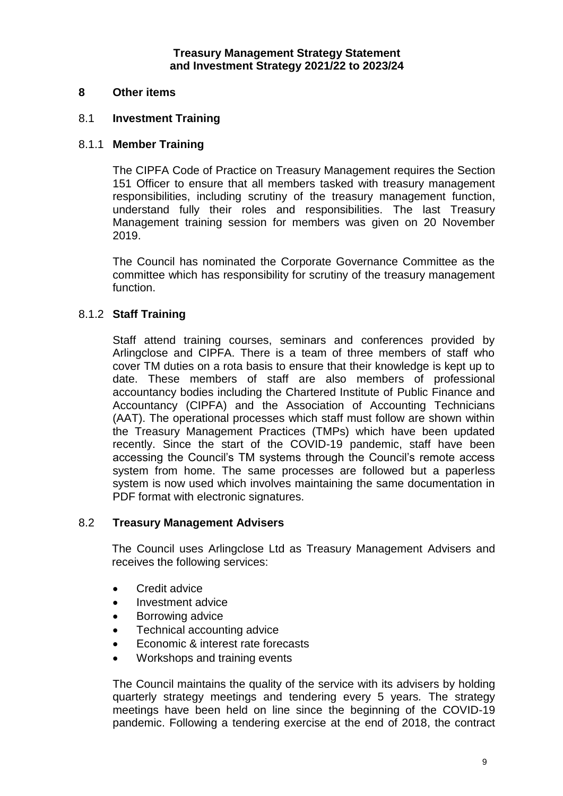#### **8 Other items**

#### 8.1 **Investment Training**

#### 8.1.1 **Member Training**

The CIPFA Code of Practice on Treasury Management requires the Section 151 Officer to ensure that all members tasked with treasury management responsibilities, including scrutiny of the treasury management function, understand fully their roles and responsibilities. The last Treasury Management training session for members was given on 20 November 2019.

The Council has nominated the Corporate Governance Committee as the committee which has responsibility for scrutiny of the treasury management function.

#### 8.1.2 **Staff Training**

Staff attend training courses, seminars and conferences provided by Arlingclose and CIPFA. There is a team of three members of staff who cover TM duties on a rota basis to ensure that their knowledge is kept up to date. These members of staff are also members of professional accountancy bodies including the Chartered Institute of Public Finance and Accountancy (CIPFA) and the Association of Accounting Technicians (AAT). The operational processes which staff must follow are shown within the Treasury Management Practices (TMPs) which have been updated recently. Since the start of the COVID-19 pandemic, staff have been accessing the Council's TM systems through the Council's remote access system from home. The same processes are followed but a paperless system is now used which involves maintaining the same documentation in PDF format with electronic signatures.

#### 8.2 **Treasury Management Advisers**

The Council uses Arlingclose Ltd as Treasury Management Advisers and receives the following services:

- Credit advice
- Investment advice
- Borrowing advice
- Technical accounting advice
- Economic & interest rate forecasts
- Workshops and training events

The Council maintains the quality of the service with its advisers by holding quarterly strategy meetings and tendering every 5 years*.* The strategy meetings have been held on line since the beginning of the COVID-19 pandemic. Following a tendering exercise at the end of 2018, the contract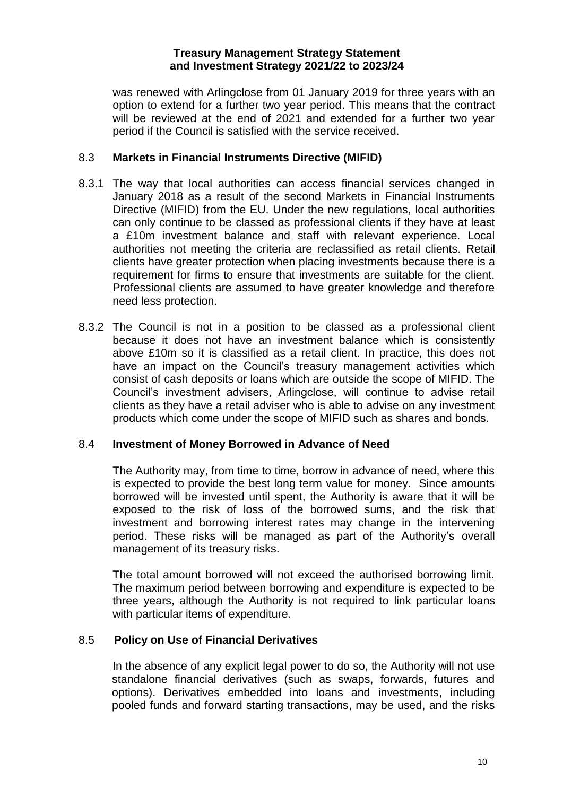was renewed with Arlingclose from 01 January 2019 for three years with an option to extend for a further two year period. This means that the contract will be reviewed at the end of 2021 and extended for a further two year period if the Council is satisfied with the service received.

## 8.3 **Markets in Financial Instruments Directive (MIFID)**

- 8.3.1 The way that local authorities can access financial services changed in January 2018 as a result of the second Markets in Financial Instruments Directive (MIFID) from the EU. Under the new regulations, local authorities can only continue to be classed as professional clients if they have at least a £10m investment balance and staff with relevant experience. Local authorities not meeting the criteria are reclassified as retail clients. Retail clients have greater protection when placing investments because there is a requirement for firms to ensure that investments are suitable for the client. Professional clients are assumed to have greater knowledge and therefore need less protection.
- 8.3.2 The Council is not in a position to be classed as a professional client because it does not have an investment balance which is consistently above £10m so it is classified as a retail client. In practice, this does not have an impact on the Council's treasury management activities which consist of cash deposits or loans which are outside the scope of MIFID. The Council's investment advisers, Arlingclose, will continue to advise retail clients as they have a retail adviser who is able to advise on any investment products which come under the scope of MIFID such as shares and bonds.

#### 8.4 **Investment of Money Borrowed in Advance of Need**

The Authority may, from time to time, borrow in advance of need, where this is expected to provide the best long term value for money. Since amounts borrowed will be invested until spent, the Authority is aware that it will be exposed to the risk of loss of the borrowed sums, and the risk that investment and borrowing interest rates may change in the intervening period. These risks will be managed as part of the Authority's overall management of its treasury risks.

The total amount borrowed will not exceed the authorised borrowing limit. The maximum period between borrowing and expenditure is expected to be three years, although the Authority is not required to link particular loans with particular items of expenditure.

# 8.5 **Policy on Use of Financial Derivatives**

In the absence of any explicit legal power to do so, the Authority will not use standalone financial derivatives (such as swaps, forwards, futures and options). Derivatives embedded into loans and investments, including pooled funds and forward starting transactions, may be used, and the risks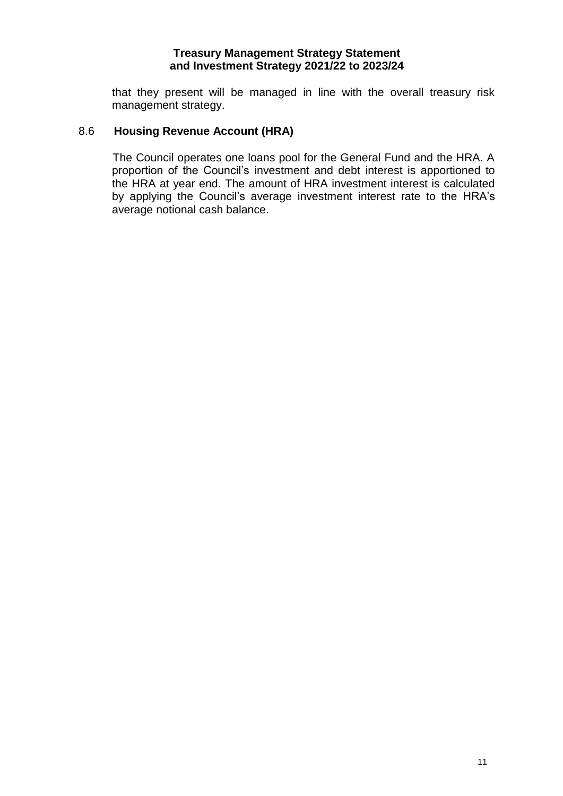that they present will be managed in line with the overall treasury risk management strategy.

#### 8.6 **Housing Revenue Account (HRA)**

The Council operates one loans pool for the General Fund and the HRA. A proportion of the Council's investment and debt interest is apportioned to the HRA at year end. The amount of HRA investment interest is calculated by applying the Council's average investment interest rate to the HRA's average notional cash balance.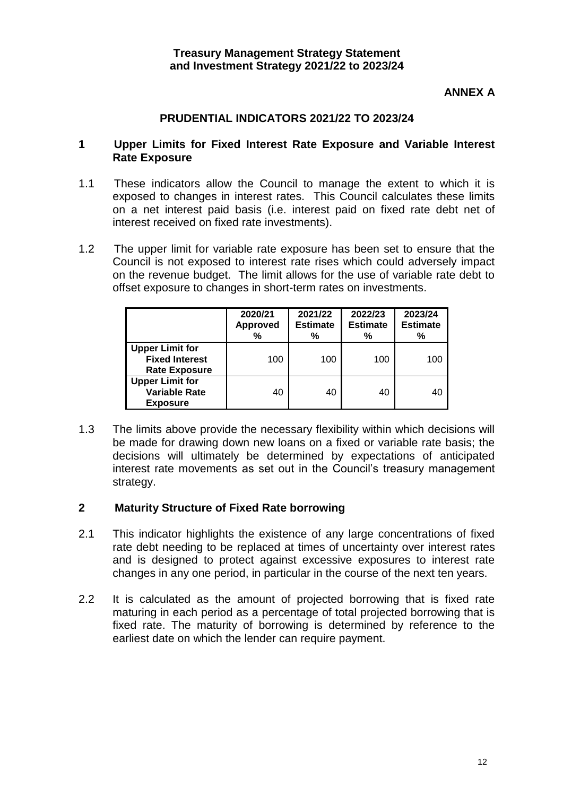# **ANNEX A**

## **PRUDENTIAL INDICATORS 2021/22 TO 2023/24**

#### **1 Upper Limits for Fixed Interest Rate Exposure and Variable Interest Rate Exposure**

- 1.1 These indicators allow the Council to manage the extent to which it is exposed to changes in interest rates. This Council calculates these limits on a net interest paid basis (i.e. interest paid on fixed rate debt net of interest received on fixed rate investments).
- 1.2 The upper limit for variable rate exposure has been set to ensure that the Council is not exposed to interest rate rises which could adversely impact on the revenue budget. The limit allows for the use of variable rate debt to offset exposure to changes in short-term rates on investments.

|                                                                         | 2020/21<br><b>Approved</b><br>% | 2021/22<br><b>Estimate</b><br>% | 2022/23<br><b>Estimate</b><br>% | 2023/24<br><b>Estimate</b><br>% |
|-------------------------------------------------------------------------|---------------------------------|---------------------------------|---------------------------------|---------------------------------|
| <b>Upper Limit for</b><br><b>Fixed Interest</b><br><b>Rate Exposure</b> | 100                             | 100                             | 100                             | 100                             |
| <b>Upper Limit for</b><br><b>Variable Rate</b><br><b>Exposure</b>       | 40                              | 40                              | 40                              | 40                              |

1.3 The limits above provide the necessary flexibility within which decisions will be made for drawing down new loans on a fixed or variable rate basis; the decisions will ultimately be determined by expectations of anticipated interest rate movements as set out in the Council's treasury management strategy.

#### **2 Maturity Structure of Fixed Rate borrowing**

- 2.1 This indicator highlights the existence of any large concentrations of fixed rate debt needing to be replaced at times of uncertainty over interest rates and is designed to protect against excessive exposures to interest rate changes in any one period, in particular in the course of the next ten years.
- 2.2 It is calculated as the amount of projected borrowing that is fixed rate maturing in each period as a percentage of total projected borrowing that is fixed rate. The maturity of borrowing is determined by reference to the earliest date on which the lender can require payment.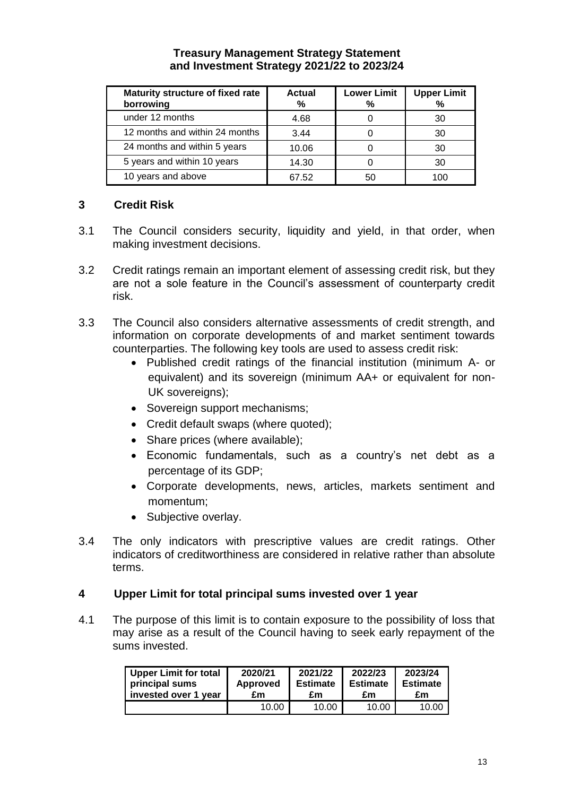| Maturity structure of fixed rate<br>borrowing | Actual<br>℅ | <b>Lower Limit</b><br>% | <b>Upper Limit</b><br>% |
|-----------------------------------------------|-------------|-------------------------|-------------------------|
| under 12 months                               | 4.68        |                         | 30                      |
| 12 months and within 24 months                | 3.44        |                         | 30                      |
| 24 months and within 5 years                  | 10.06       |                         | 30                      |
| 5 years and within 10 years                   | 14.30       |                         | 30                      |
| 10 years and above                            | 67.52       | 50                      | 100                     |

# **3 Credit Risk**

- 3.1 The Council considers security, liquidity and yield, in that order, when making investment decisions.
- 3.2 Credit ratings remain an important element of assessing credit risk, but they are not a sole feature in the Council's assessment of counterparty credit risk.
- 3.3 The Council also considers alternative assessments of credit strength, and information on corporate developments of and market sentiment towards counterparties. The following key tools are used to assess credit risk:
	- Published credit ratings of the financial institution (minimum A- or equivalent) and its sovereign (minimum AA+ or equivalent for non-UK sovereigns);
	- Sovereign support mechanisms;
	- Credit default swaps (where quoted);
	- Share prices (where available);
	- Economic fundamentals, such as a country's net debt as a percentage of its GDP;
	- Corporate developments, news, articles, markets sentiment and momentum;
	- Subjective overlay.
- 3.4 The only indicators with prescriptive values are credit ratings. Other indicators of creditworthiness are considered in relative rather than absolute terms.

# **4 Upper Limit for total principal sums invested over 1 year**

4.1 The purpose of this limit is to contain exposure to the possibility of loss that may arise as a result of the Council having to seek early repayment of the sums invested.

| Upper Limit for total | 2020/21         | 2021/22         | 2022/23         | 2023/24         |
|-----------------------|-----------------|-----------------|-----------------|-----------------|
| principal sums        | <b>Approved</b> | <b>Estimate</b> | <b>Estimate</b> | <b>Estimate</b> |
| invested over 1 year  | £m              | £m              | £m              | £m              |
|                       | 10.00           | 10.00           | 10.00           | 10.00           |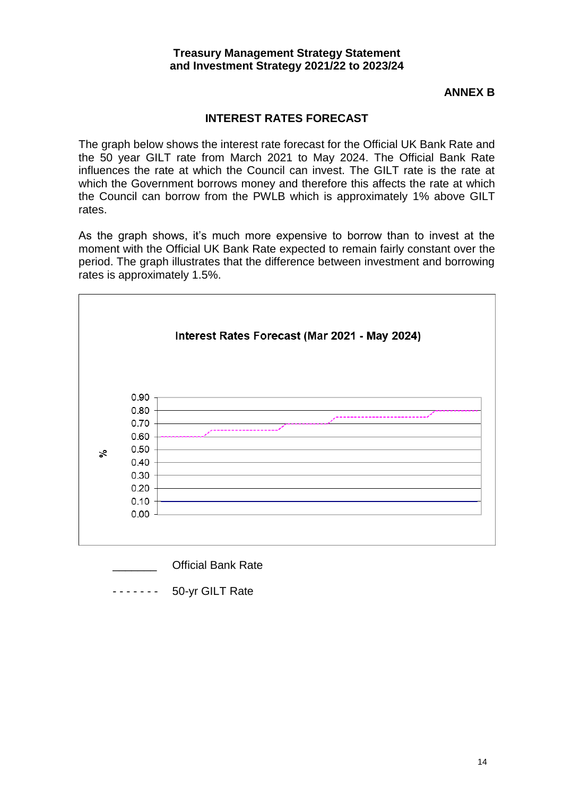### **ANNEX B**

# **INTEREST RATES FORECAST**

The graph below shows the interest rate forecast for the Official UK Bank Rate and the 50 year GILT rate from March 2021 to May 2024. The Official Bank Rate influences the rate at which the Council can invest. The GILT rate is the rate at which the Government borrows money and therefore this affects the rate at which the Council can borrow from the PWLB which is approximately 1% above GILT rates.

As the graph shows, it's much more expensive to borrow than to invest at the moment with the Official UK Bank Rate expected to remain fairly constant over the period. The graph illustrates that the difference between investment and borrowing rates is approximately 1.5%.



\_\_\_\_\_\_\_ Official Bank Rate

- - - - - - - 50-yr GILT Rate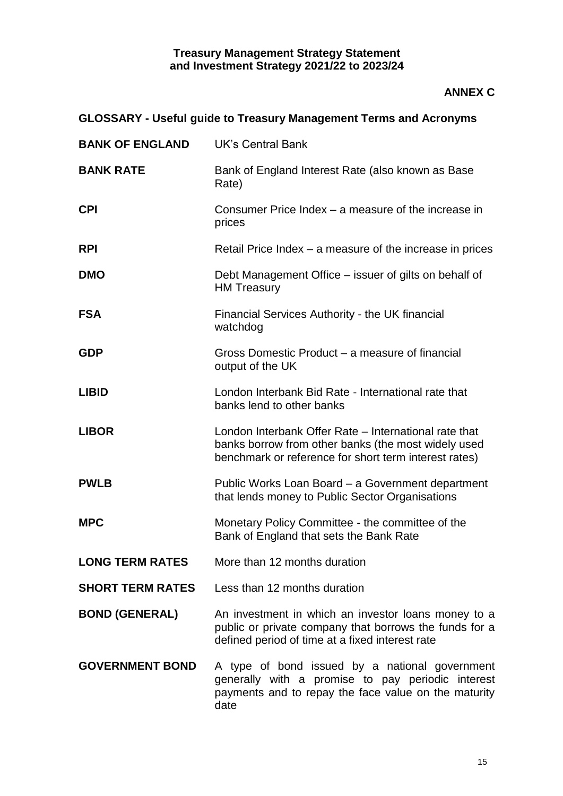# **ANNEX C**

# **GLOSSARY - Useful guide to Treasury Management Terms and Acronyms**

| <b>BANK OF ENGLAND</b>  | <b>UK's Central Bank</b>                                                                                                                                              |
|-------------------------|-----------------------------------------------------------------------------------------------------------------------------------------------------------------------|
| <b>BANK RATE</b>        | Bank of England Interest Rate (also known as Base<br>Rate)                                                                                                            |
| <b>CPI</b>              | Consumer Price Index – a measure of the increase in<br>prices                                                                                                         |
| <b>RPI</b>              | Retail Price Index – a measure of the increase in prices                                                                                                              |
| <b>DMO</b>              | Debt Management Office – issuer of gilts on behalf of<br><b>HM Treasury</b>                                                                                           |
| <b>FSA</b>              | Financial Services Authority - the UK financial<br>watchdog                                                                                                           |
| <b>GDP</b>              | Gross Domestic Product – a measure of financial<br>output of the UK                                                                                                   |
| <b>LIBID</b>            | London Interbank Bid Rate - International rate that<br>banks lend to other banks                                                                                      |
| <b>LIBOR</b>            | London Interbank Offer Rate - International rate that<br>banks borrow from other banks (the most widely used<br>benchmark or reference for short term interest rates) |
| <b>PWLB</b>             | Public Works Loan Board – a Government department<br>that lends money to Public Sector Organisations                                                                  |
| <b>MPC</b>              | Monetary Policy Committee - the committee of the<br>Bank of England that sets the Bank Rate                                                                           |
| <b>LONG TERM RATES</b>  | More than 12 months duration                                                                                                                                          |
| <b>SHORT TERM RATES</b> | Less than 12 months duration                                                                                                                                          |
| <b>BOND (GENERAL)</b>   | An investment in which an investor loans money to a<br>public or private company that borrows the funds for a<br>defined period of time at a fixed interest rate      |
| <b>GOVERNMENT BOND</b>  | A type of bond issued by a national government<br>generally with a promise to pay periodic interest<br>payments and to repay the face value on the maturity<br>date   |